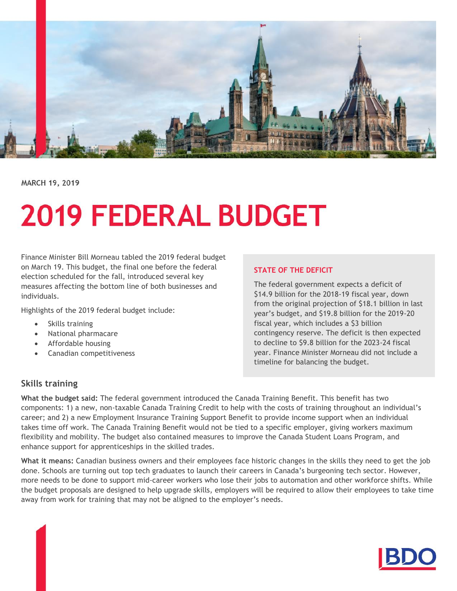

MARCH 19, 2019

# **2019 FEDERAL BUDGET**

Finance Minister Bill Morneau tabled the 2019 federal budget on March 19. This budget, the final one before the federal election scheduled for the fall, introduced several key measures affecting the bottom line of both businesses and individuals.

Highlights of the 2019 federal budget include:

- Skills training
- National pharmacare
- Affordable housing
- Canadian competitiveness

#### **STATE OF THE DEFICIT**

The federal government expects a deficit of \$14.9 billion for the 2018-19 fiscal year, down from the original projection of \$18.1 billion in last year's budget, and \$19.8 billion for the 2019-20 fiscal year, which includes a \$3 billion contingency reserve. The deficit is then expected to decline to \$9.8 billion for the 2023-24 fiscal year. Finance Minister Morneau did not include a timeline for balancing the budget.

## **Skills training**

**What the budget said:** The federal government introduced the Canada Training Benefit. This benefit has two components: 1) a new, non-taxable Canada Training Credit to help with the costs of training throughout an individual's career; and 2) a new Employment Insurance Training Support Benefit to provide income support when an individual takes time off work. The Canada Training Benefit would not be tied to a specific employer, giving workers maximum flexibility and mobility. The budget also contained measures to improve the Canada Student Loans Program, and enhance support for apprenticeships in the skilled trades.

**What it means:** Canadian business owners and their employees face historic changes in the skills they need to get the job done. Schools are turning out top tech graduates to launch their careers in Canada's burgeoning tech sector. However, more needs to be done to support mid-career workers who lose their jobs to automation and other workforce shifts. While the budget proposals are designed to help upgrade skills, employers will be required to allow their employees to take time away from work for training that may not be aligned to the employer's needs.

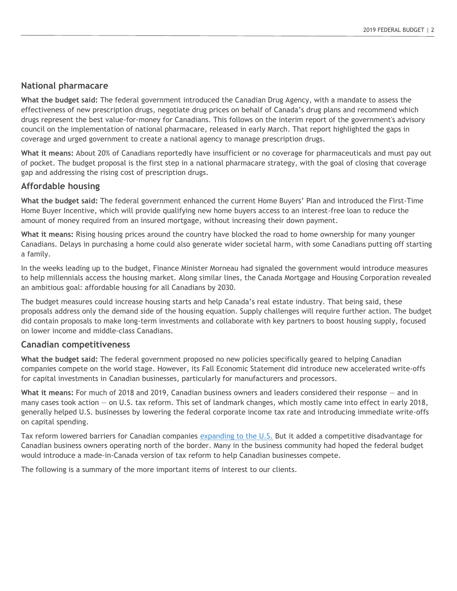#### **National pharmacare**

**What the budget said:** The federal government introduced the Canadian Drug Agency, with a mandate to assess the effectiveness of new prescription drugs, negotiate drug prices on behalf of Canada's drug plans and recommend which drugs represent the best value-for-money for Canadians. This follows on the interim report of the government's advisory council on the implementation of national pharmacare, released in early March. That report highlighted the gaps in coverage and urged government to create a national agency to manage prescription drugs.

**What it means:** About 20% of Canadians reportedly have insufficient or no coverage for pharmaceuticals and must pay out of pocket. The budget proposal is the first step in a national pharmacare strategy, with the goal of closing that coverage gap and addressing the rising cost of prescription drugs.

#### **Affordable housing**

**What the budget said:** The federal government enhanced the current Home Buyers' Plan and introduced the First-Time Home Buyer Incentive, which will provide qualifying new home buyers access to an interest-free loan to reduce the amount of money required from an insured mortgage, without increasing their down payment.

**What it means:** Rising housing prices around the country have blocked the road to home ownership for many younger Canadians. Delays in purchasing a home could also generate wider societal harm, with some Canadians putting off starting a family.

In the weeks leading up to the budget, Finance Minister Morneau had signaled the government would introduce measures to help millennials access the housing market. Along similar lines, the Canada Mortgage and Housing Corporation revealed an ambitious goal: affordable housing for all Canadians by 2030.

The budget measures could increase housing starts and help Canada's real estate industry. That being said, these proposals address only the demand side of the housing equation. Supply challenges will require further action. The budget did contain proposals to make long-term investments and collaborate with key partners to boost housing supply, focused on lower income and middle-class Canadians.

#### **Canadian competitiveness**

**What the budget said:** The federal government proposed no new policies specifically geared to helping Canadian companies compete on the world stage. However, its Fall Economic Statement did introduce new accelerated write-offs for capital investments in Canadian businesses, particularly for manufacturers and processors.

**What it means:** For much of 2018 and 2019, Canadian business owners and leaders considered their response — and in many cases took action — on U.S. tax reform. This set of landmark changes, which mostly came into effect in early 2018, generally helped U.S. businesses by lowering the federal corporate income tax rate and introducing immediate write-offs on capital spending.

Tax reform lowered barriers for Canadian companies [expanding to the U.S.](https://www.bdo.ca/en-ca/insights/tax/tax-articles/guide-how-to-expand-to-us/) But it added a competitive disadvantage for Canadian business owners operating north of the border. Many in the business community had hoped the federal budget would introduce a made-in-Canada version of tax reform to help Canadian businesses compete.

The following is a summary of the more important items of interest to our clients.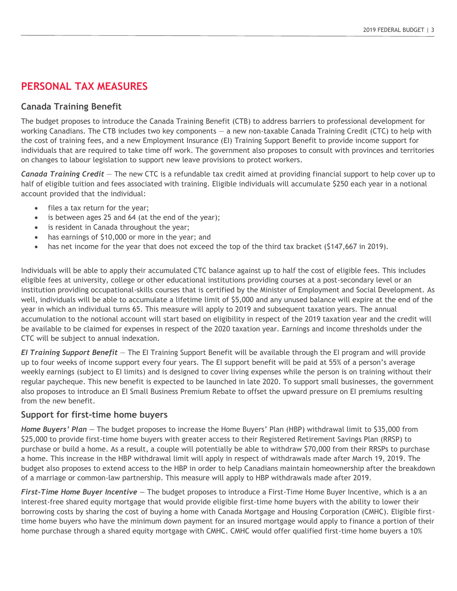# **PERSONAL TAX MEASURES**

## **Canada Training Benefit**

The budget proposes to introduce the Canada Training Benefit (CTB) to address barriers to professional development for working Canadians. The CTB includes two key components — a new non-taxable Canada Training Credit (CTC) to help with the cost of training fees, and a new Employment Insurance (EI) Training Support Benefit to provide income support for individuals that are required to take time off work. The government also proposes to consult with provinces and territories on changes to labour legislation to support new leave provisions to protect workers.

*Canada Training Credit* — The new CTC is a refundable tax credit aimed at providing financial support to help cover up to half of eligible tuition and fees associated with training. Eligible individuals will accumulate \$250 each year in a notional account provided that the individual:

- files a tax return for the year;
- is between ages 25 and 64 (at the end of the year);
- is resident in Canada throughout the year;
- has earnings of \$10,000 or more in the year; and
- has net income for the year that does not exceed the top of the third tax bracket (\$147,667 in 2019).

Individuals will be able to apply their accumulated CTC balance against up to half the cost of eligible fees. This includes eligible fees at university, college or other educational institutions providing courses at a post-secondary level or an institution providing occupational-skills courses that is certified by the Minister of Employment and Social Development. As well, individuals will be able to accumulate a lifetime limit of \$5,000 and any unused balance will expire at the end of the year in which an individual turns 65. This measure will apply to 2019 and subsequent taxation years. The annual accumulation to the notional account will start based on eligibility in respect of the 2019 taxation year and the credit will be available to be claimed for expenses in respect of the 2020 taxation year. Earnings and income thresholds under the CTC will be subject to annual indexation.

*EI Training Support Benefit* — The EI Training Support Benefit will be available through the EI program and will provide up to four weeks of income support every four years. The EI support benefit will be paid at 55% of a person's average weekly earnings (subject to EI limits) and is designed to cover living expenses while the person is on training without their regular paycheque. This new benefit is expected to be launched in late 2020. To support small businesses, the government also proposes to introduce an EI Small Business Premium Rebate to offset the upward pressure on EI premiums resulting from the new benefit.

## **Support for first-time home buyers**

*Home Buyers' Plan —* The budget proposes to increase the Home Buyers' Plan (HBP) withdrawal limit to \$35,000 from \$25,000 to provide first-time home buyers with greater access to their Registered Retirement Savings Plan (RRSP) to purchase or build a home. As a result, a couple will potentially be able to withdraw \$70,000 from their RRSPs to purchase a home. This increase in the HBP withdrawal limit will apply in respect of withdrawals made after March 19, 2019. The budget also proposes to extend access to the HBP in order to help Canadians maintain homeownership after the breakdown of a marriage or common-law partnership. This measure will apply to HBP withdrawals made after 2019.

*First-Time Home Buyer Incentive —* The budget proposes to introduce a First-Time Home Buyer Incentive, which is a an interest-free shared equity mortgage that would provide eligible first-time home buyers with the ability to lower their borrowing costs by sharing the cost of buying a home with Canada Mortgage and Housing Corporation (CMHC). Eligible firsttime home buyers who have the minimum down payment for an insured mortgage would apply to finance a portion of their home purchase through a shared equity mortgage with CMHC. CMHC would offer qualified first-time home buyers a 10%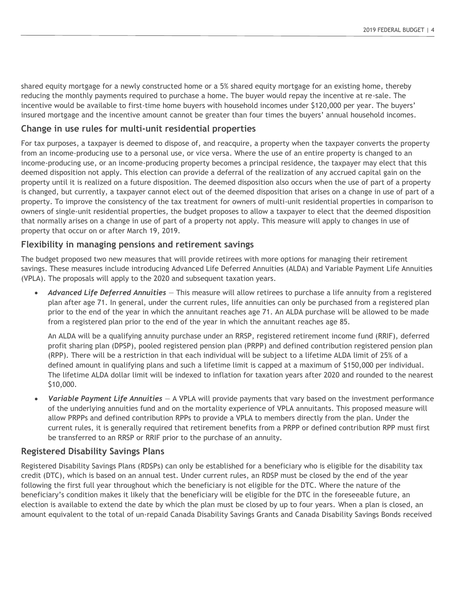shared equity mortgage for a newly constructed home or a 5% shared equity mortgage for an existing home, thereby reducing the monthly payments required to purchase a home. The buyer would repay the incentive at re-sale. The incentive would be available to first-time home buyers with household incomes under \$120,000 per year. The buyers' insured mortgage and the incentive amount cannot be greater than four times the buyers' annual household incomes.

#### **Change in use rules for multi-unit residential properties**

For tax purposes, a taxpayer is deemed to dispose of, and reacquire, a property when the taxpayer converts the property from an income-producing use to a personal use, or vice versa. Where the use of an entire property is changed to an income-producing use, or an income-producing property becomes a principal residence, the taxpayer may elect that this deemed disposition not apply. This election can provide a deferral of the realization of any accrued capital gain on the property until it is realized on a future disposition. The deemed disposition also occurs when the use of part of a property is changed, but currently, a taxpayer cannot elect out of the deemed disposition that arises on a change in use of part of a property. To improve the consistency of the tax treatment for owners of multi-unit residential properties in comparison to owners of single-unit residential properties, the budget proposes to allow a taxpayer to elect that the deemed disposition that normally arises on a change in use of part of a property not apply. This measure will apply to changes in use of property that occur on or after March 19, 2019.

#### **Flexibility in managing pensions and retirement savings**

The budget proposed two new measures that will provide retirees with more options for managing their retirement savings. These measures include introducing Advanced Life Deferred Annuities (ALDA) and Variable Payment Life Annuities (VPLA). The proposals will apply to the 2020 and subsequent taxation years.

 *Advanced Life Deferred Annuities* — This measure will allow retirees to purchase a life annuity from a registered plan after age 71. In general, under the current rules, life annuities can only be purchased from a registered plan prior to the end of the year in which the annuitant reaches age 71. An ALDA purchase will be allowed to be made from a registered plan prior to the end of the year in which the annuitant reaches age 85.

An ALDA will be a qualifying annuity purchase under an RRSP, registered retirement income fund (RRIF), deferred profit sharing plan (DPSP), pooled registered pension plan (PRPP) and defined contribution registered pension plan (RPP). There will be a restriction in that each individual will be subject to a lifetime ALDA limit of 25% of a defined amount in qualifying plans and such a lifetime limit is capped at a maximum of \$150,000 per individual. The lifetime ALDA dollar limit will be indexed to inflation for taxation years after 2020 and rounded to the nearest \$10,000.

 *Variable Payment Life Annuities* — A VPLA will provide payments that vary based on the investment performance of the underlying annuities fund and on the mortality experience of VPLA annuitants. This proposed measure will allow PRPPs and defined contribution RPPs to provide a VPLA to members directly from the plan. Under the current rules, it is generally required that retirement benefits from a PRPP or defined contribution RPP must first be transferred to an RRSP or RRIF prior to the purchase of an annuity.

#### **Registered Disability Savings Plans**

Registered Disability Savings Plans (RDSPs) can only be established for a beneficiary who is eligible for the disability tax credit (DTC), which is based on an annual test. Under current rules, an RDSP must be closed by the end of the year following the first full year throughout which the beneficiary is not eligible for the DTC. Where the nature of the beneficiary's condition makes it likely that the beneficiary will be eligible for the DTC in the foreseeable future, an election is available to extend the date by which the plan must be closed by up to four years. When a plan is closed, an amount equivalent to the total of un-repaid Canada Disability Savings Grants and Canada Disability Savings Bonds received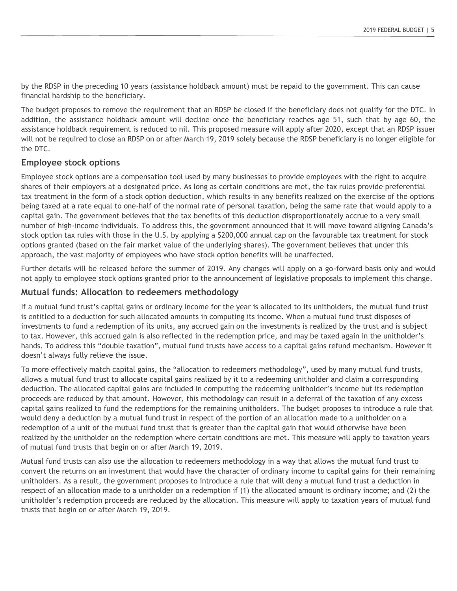by the RDSP in the preceding 10 years (assistance holdback amount) must be repaid to the government. This can cause financial hardship to the beneficiary.

The budget proposes to remove the requirement that an RDSP be closed if the beneficiary does not qualify for the DTC. In addition, the assistance holdback amount will decline once the beneficiary reaches age 51, such that by age 60, the assistance holdback requirement is reduced to nil. This proposed measure will apply after 2020, except that an RDSP issuer will not be required to close an RDSP on or after March 19, 2019 solely because the RDSP beneficiary is no longer eligible for the DTC.

#### **Employee stock options**

Employee stock options are a compensation tool used by many businesses to provide employees with the right to acquire shares of their employers at a designated price. As long as certain conditions are met, the tax rules provide preferential tax treatment in the form of a stock option deduction, which results in any benefits realized on the exercise of the options being taxed at a rate equal to one-half of the normal rate of personal taxation, being the same rate that would apply to a capital gain. The government believes that the tax benefits of this deduction disproportionately accrue to a very small number of high-income individuals. To address this, the government announced that it will move toward aligning Canada's stock option tax rules with those in the U.S. by applying a \$200,000 annual cap on the favourable tax treatment for stock options granted (based on the fair market value of the underlying shares). The government believes that under this approach, the vast majority of employees who have stock option benefits will be unaffected.

Further details will be released before the summer of 2019. Any changes will apply on a go-forward basis only and would not apply to employee stock options granted prior to the announcement of legislative proposals to implement this change.

#### **Mutual funds: Allocation to redeemers methodology**

If a mutual fund trust's capital gains or ordinary income for the year is allocated to its unitholders, the mutual fund trust is entitled to a deduction for such allocated amounts in computing its income. When a mutual fund trust disposes of investments to fund a redemption of its units, any accrued gain on the investments is realized by the trust and is subject to tax. However, this accrued gain is also reflected in the redemption price, and may be taxed again in the unitholder's hands. To address this "double taxation", mutual fund trusts have access to a capital gains refund mechanism. However it doesn't always fully relieve the issue.

To more effectively match capital gains, the "allocation to redeemers methodology", used by many mutual fund trusts, allows a mutual fund trust to allocate capital gains realized by it to a redeeming unitholder and claim a corresponding deduction. The allocated capital gains are included in computing the redeeming unitholder's income but its redemption proceeds are reduced by that amount. However, this methodology can result in a deferral of the taxation of any excess capital gains realized to fund the redemptions for the remaining unitholders. The budget proposes to introduce a rule that would deny a deduction by a mutual fund trust in respect of the portion of an allocation made to a unitholder on a redemption of a unit of the mutual fund trust that is greater than the capital gain that would otherwise have been realized by the unitholder on the redemption where certain conditions are met. This measure will apply to taxation years of mutual fund trusts that begin on or after March 19, 2019.

Mutual fund trusts can also use the allocation to redeemers methodology in a way that allows the mutual fund trust to convert the returns on an investment that would have the character of ordinary income to capital gains for their remaining unitholders. As a result, the government proposes to introduce a rule that will deny a mutual fund trust a deduction in respect of an allocation made to a unitholder on a redemption if (1) the allocated amount is ordinary income; and (2) the unitholder's redemption proceeds are reduced by the allocation. This measure will apply to taxation years of mutual fund trusts that begin on or after March 19, 2019.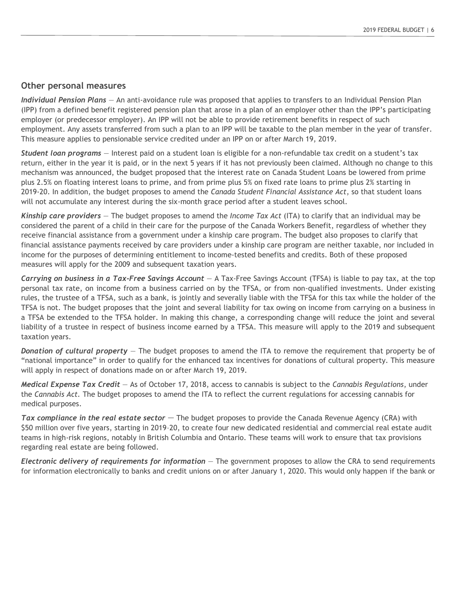#### **Other personal measures**

*Individual Pension Plans* — An anti-avoidance rule was proposed that applies to transfers to an Individual Pension Plan (IPP) from a defined benefit registered pension plan that arose in a plan of an employer other than the IPP's participating employer (or predecessor employer). An IPP will not be able to provide retirement benefits in respect of such employment. Any assets transferred from such a plan to an IPP will be taxable to the plan member in the year of transfer. This measure applies to pensionable service credited under an IPP on or after March 19, 2019.

*Student loan programs* — Interest paid on a student loan is eligible for a non-refundable tax credit on a student's tax return, either in the year it is paid, or in the next 5 years if it has not previously been claimed. Although no change to this mechanism was announced, the budget proposed that the interest rate on Canada Student Loans be lowered from prime plus 2.5% on floating interest loans to prime, and from prime plus 5% on fixed rate loans to prime plus 2% starting in 2019-20. In addition, the budget proposes to amend the *Canada Student Financial Assistance Act*, so that student loans will not accumulate any interest during the six-month grace period after a student leaves school.

*Kinship care providers* — The budget proposes to amend the *Income Tax Act* (ITA) to clarify that an individual may be considered the parent of a child in their care for the purpose of the Canada Workers Benefit, regardless of whether they receive financial assistance from a government under a kinship care program. The budget also proposes to clarify that financial assistance payments received by care providers under a kinship care program are neither taxable, nor included in income for the purposes of determining entitlement to income-tested benefits and credits. Both of these proposed measures will apply for the 2009 and subsequent taxation years.

*Carrying on business in a Tax-Free Savings Account* — A Tax-Free Savings Account (TFSA) is liable to pay tax, at the top personal tax rate, on income from a business carried on by the TFSA, or from non-qualified investments. Under existing rules, the trustee of a TFSA, such as a bank, is jointly and severally liable with the TFSA for this tax while the holder of the TFSA is not. The budget proposes that the joint and several liability for tax owing on income from carrying on a business in a TFSA be extended to the TFSA holder. In making this change, a corresponding change will reduce the joint and several liability of a trustee in respect of business income earned by a TFSA. This measure will apply to the 2019 and subsequent taxation years.

*Donation of cultural property* — The budget proposes to amend the ITA to remove the requirement that property be of "national importance" in order to qualify for the enhanced tax incentives for donations of cultural property. This measure will apply in respect of donations made on or after March 19, 2019.

*Medical Expense Tax Credit* — As of October 17, 2018, access to cannabis is subject to the *Cannabis Regulations*, under the *Cannabis Act.* The budget proposes to amend the ITA to reflect the current regulations for accessing cannabis for medical purposes.

*Tax compliance in the real estate sector* — The budget proposes to provide the Canada Revenue Agency (CRA) with \$50 million over five years, starting in 2019–20, to create four new dedicated residential and commercial real estate audit teams in high-risk regions, notably in British Columbia and Ontario. These teams will work to ensure that tax provisions regarding real estate are being followed.

*Electronic delivery of requirements for information* — The government proposes to allow the CRA to send requirements for information electronically to banks and credit unions on or after January 1, 2020. This would only happen if the bank or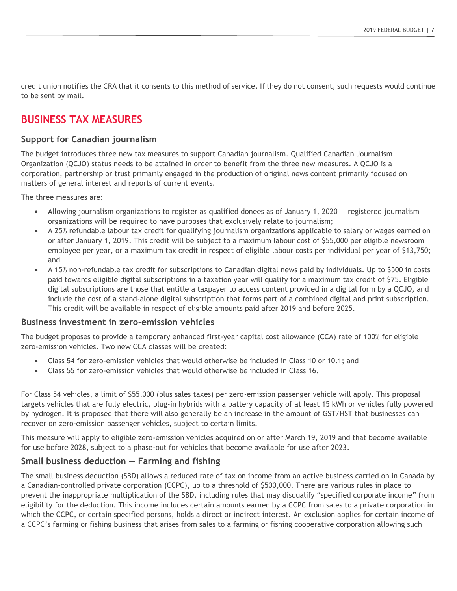credit union notifies the CRA that it consents to this method of service. If they do not consent, such requests would continue to be sent by mail.

# **BUSINESS TAX MEASURES**

## **Support for Canadian journalism**

The budget introduces three new tax measures to support Canadian journalism. Qualified Canadian Journalism Organization (QCJO) status needs to be attained in order to benefit from the three new measures. A QCJO is a corporation, partnership or trust primarily engaged in the production of original news content primarily focused on matters of general interest and reports of current events.

The three measures are:

- Allowing journalism organizations to register as qualified donees as of January 1, 2020 registered journalism organizations will be required to have purposes that exclusively relate to journalism;
- A 25% refundable labour tax credit for qualifying journalism organizations applicable to salary or wages earned on or after January 1, 2019. This credit will be subject to a maximum labour cost of \$55,000 per eligible newsroom employee per year, or a maximum tax credit in respect of eligible labour costs per individual per year of \$13,750; and
- A 15% non-refundable tax credit for subscriptions to Canadian digital news paid by individuals. Up to \$500 in costs paid towards eligible digital subscriptions in a taxation year will qualify for a maximum tax credit of \$75. Eligible digital subscriptions are those that entitle a taxpayer to access content provided in a digital form by a QCJO, and include the cost of a stand-alone digital subscription that forms part of a combined digital and print subscription. This credit will be available in respect of eligible amounts paid after 2019 and before 2025.

#### **Business investment in zero-emission vehicles**

The budget proposes to provide a temporary enhanced first-year capital cost allowance (CCA) rate of 100% for eligible zero-emission vehicles. Two new CCA classes will be created:

- Class 54 for zero-emission vehicles that would otherwise be included in Class 10 or 10.1; and
- Class 55 for zero-emission vehicles that would otherwise be included in Class 16.

For Class 54 vehicles, a limit of \$55,000 (plus sales taxes) per zero-emission passenger vehicle will apply. This proposal targets vehicles that are fully electric, plug-in hybrids with a battery capacity of at least 15 kWh or vehicles fully powered by hydrogen. It is proposed that there will also generally be an increase in the amount of GST/HST that businesses can recover on zero-emission passenger vehicles, subject to certain limits.

This measure will apply to eligible zero-emission vehicles acquired on or after March 19, 2019 and that become available for use before 2028, subject to a phase-out for vehicles that become available for use after 2023.

## **Small business deduction — Farming and fishing**

The small business deduction (SBD) allows a reduced rate of tax on income from an active business carried on in Canada by a Canadian-controlled private corporation (CCPC), up to a threshold of \$500,000. There are various rules in place to prevent the inappropriate multiplication of the SBD, including rules that may disqualify "specified corporate income" from eligibility for the deduction. This income includes certain amounts earned by a CCPC from sales to a private corporation in which the CCPC, or certain specified persons, holds a direct or indirect interest. An exclusion applies for certain income of a CCPC's farming or fishing business that arises from sales to a farming or fishing cooperative corporation allowing such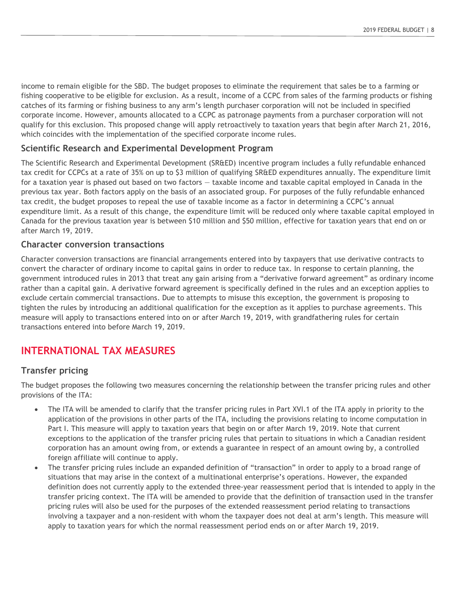income to remain eligible for the SBD. The budget proposes to eliminate the requirement that sales be to a farming or fishing cooperative to be eligible for exclusion. As a result, income of a CCPC from sales of the farming products or fishing catches of its farming or fishing business to any arm's length purchaser corporation will not be included in specified corporate income. However, amounts allocated to a CCPC as patronage payments from a purchaser corporation will not qualify for this exclusion. This proposed change will apply retroactively to taxation years that begin after March 21, 2016, which coincides with the implementation of the specified corporate income rules.

## **Scientific Research and Experimental Development Program**

The Scientific Research and Experimental Development (SR&ED) incentive program includes a fully refundable enhanced tax credit for CCPCs at a rate of 35% on up to \$3 million of qualifying SR&ED expenditures annually. The expenditure limit for a taxation year is phased out based on two factors - taxable income and taxable capital employed in Canada in the previous tax year. Both factors apply on the basis of an associated group. For purposes of the fully refundable enhanced tax credit, the budget proposes to repeal the use of taxable income as a factor in determining a CCPC's annual expenditure limit. As a result of this change, the expenditure limit will be reduced only where taxable capital employed in Canada for the previous taxation year is between \$10 million and \$50 million, effective for taxation years that end on or after March 19, 2019.

#### **Character conversion transactions**

Character conversion transactions are financial arrangements entered into by taxpayers that use derivative contracts to convert the character of ordinary income to capital gains in order to reduce tax. In response to certain planning, the government introduced rules in 2013 that treat any gain arising from a "derivative forward agreement" as ordinary income rather than a capital gain. A derivative forward agreement is specifically defined in the rules and an exception applies to exclude certain commercial transactions. Due to attempts to misuse this exception, the government is proposing to tighten the rules by introducing an additional qualification for the exception as it applies to purchase agreements. This measure will apply to transactions entered into on or after March 19, 2019, with grandfathering rules for certain transactions entered into before March 19, 2019.

# **INTERNATIONAL TAX MEASURES**

#### **Transfer pricing**

The budget proposes the following two measures concerning the relationship between the transfer pricing rules and other provisions of the ITA:

- The ITA will be amended to clarify that the transfer pricing rules in Part XVI.1 of the ITA apply in priority to the application of the provisions in other parts of the ITA, including the provisions relating to income computation in Part I. This measure will apply to taxation years that begin on or after March 19, 2019. Note that current exceptions to the application of the transfer pricing rules that pertain to situations in which a Canadian resident corporation has an amount owing from, or extends a guarantee in respect of an amount owing by, a controlled foreign affiliate will continue to apply.
- The transfer pricing rules include an expanded definition of "transaction" in order to apply to a broad range of situations that may arise in the context of a multinational enterprise's operations. However, the expanded definition does not currently apply to the extended three-year reassessment period that is intended to apply in the transfer pricing context. The ITA will be amended to provide that the definition of transaction used in the transfer pricing rules will also be used for the purposes of the extended reassessment period relating to transactions involving a taxpayer and a non-resident with whom the taxpayer does not deal at arm's length. This measure will apply to taxation years for which the normal reassessment period ends on or after March 19, 2019.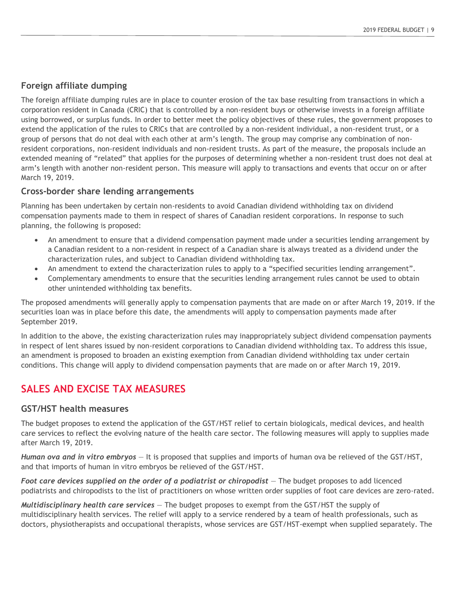#### **Foreign affiliate dumping**

The foreign affiliate dumping rules are in place to counter erosion of the tax base resulting from transactions in which a corporation resident in Canada (CRIC) that is controlled by a non-resident buys or otherwise invests in a foreign affiliate using borrowed, or surplus funds. In order to better meet the policy objectives of these rules, the government proposes to extend the application of the rules to CRICs that are controlled by a non-resident individual, a non-resident trust, or a group of persons that do not deal with each other at arm's length. The group may comprise any combination of nonresident corporations, non-resident individuals and non-resident trusts. As part of the measure, the proposals include an extended meaning of "related" that applies for the purposes of determining whether a non-resident trust does not deal at arm's length with another non-resident person. This measure will apply to transactions and events that occur on or after March 19, 2019.

#### **Cross-border share lending arrangements**

Planning has been undertaken by certain non-residents to avoid Canadian dividend withholding tax on dividend compensation payments made to them in respect of shares of Canadian resident corporations. In response to such planning, the following is proposed:

- An amendment to ensure that a dividend compensation payment made under a securities lending arrangement by a Canadian resident to a non-resident in respect of a Canadian share is always treated as a dividend under the characterization rules, and subject to Canadian dividend withholding tax.
- An amendment to extend the characterization rules to apply to a "specified securities lending arrangement".
- Complementary amendments to ensure that the securities lending arrangement rules cannot be used to obtain other unintended withholding tax benefits.

The proposed amendments will generally apply to compensation payments that are made on or after March 19, 2019. If the securities loan was in place before this date, the amendments will apply to compensation payments made after September 2019.

In addition to the above, the existing characterization rules may inappropriately subject dividend compensation payments in respect of lent shares issued by non-resident corporations to Canadian dividend withholding tax. To address this issue, an amendment is proposed to broaden an existing exemption from Canadian dividend withholding tax under certain conditions. This change will apply to dividend compensation payments that are made on or after March 19, 2019.

# **SALES AND EXCISE TAX MEASURES**

#### **GST/HST health measures**

The budget proposes to extend the application of the GST/HST relief to certain biologicals, medical devices, and health care services to reflect the evolving nature of the health care sector. The following measures will apply to supplies made after March 19, 2019.

*Human ova and in vitro embryos* — It is proposed that supplies and imports of human ova be relieved of the GST/HST, and that imports of human in vitro embryos be relieved of the GST/HST.

*Foot care devices supplied on the order of a podiatrist or chiropodist* — The budget proposes to add licenced podiatrists and chiropodists to the list of practitioners on whose written order supplies of foot care devices are zero-rated.

*Multidisciplinary health care services* — The budget proposes to exempt from the GST/HST the supply of multidisciplinary health services. The relief will apply to a service rendered by a team of health professionals, such as doctors, physiotherapists and occupational therapists, whose services are GST/HST-exempt when supplied separately. The